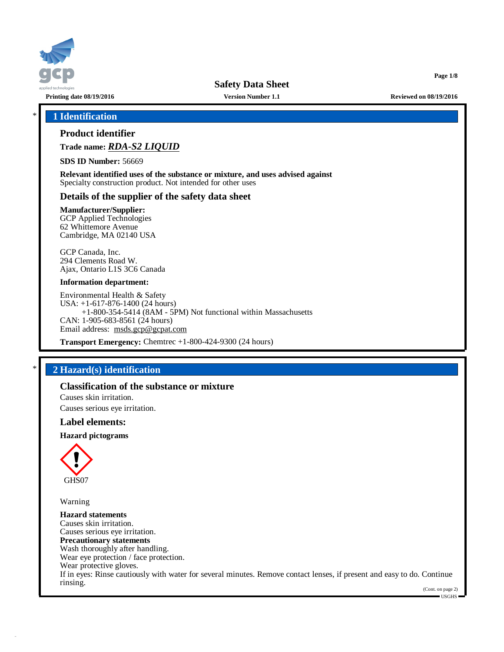

**Printing date 08/19/2016 Version Number 1.1 Reviewed on 08/19/2016**

**Page 1/8**

# \* **1 Identification**

# **Product identifier**

**Trade name:** *RDA-S2 LIQUID*

**SDS ID Number:** 56669

**Relevant identified uses of the substance or mixture, and uses advised against** Specialty construction product. Not intended for other uses

# **Details of the supplier of the safety data sheet**

**Manufacturer/Supplier:** GCP Applied Technologies

62 Whittemore Avenue Cambridge, MA 02140 USA

GCP Canada, Inc. 294 Clements Road W. Ajax, Ontario L1S 3C6 Canada

#### **Information department:**

Environmental Health & Safety USA: +1-617-876-1400 (24 hours) +1-800-354-5414 (8AM - 5PM) Not functional within Massachusetts CAN: 1-905-683-8561 (24 hours) Email address: [msds.gcp@gcpat.com](mailto:msds.gcp@gcpat.com)

**Transport Emergency:** Chemtrec +1-800-424-9300 (24 hours)

# \* **2 Hazard(s) identification**

## **Classification of the substance or mixture**

Causes skin irritation. Causes serious eye irritation.

## **Label elements:**

**Hazard pictograms**



Warning

**Hazard statements** Causes skin irritation. Causes serious eye irritation. **Precautionary statements** Wash thoroughly after handling. Wear eye protection / face protection. Wear protective gloves. If in eyes: Rinse cautiously with water for several minutes. Remove contact lenses, if present and easy to do. Continue rinsing.

(Cont. on page 2)  $\blacksquare$  USGHS  $\blacksquare$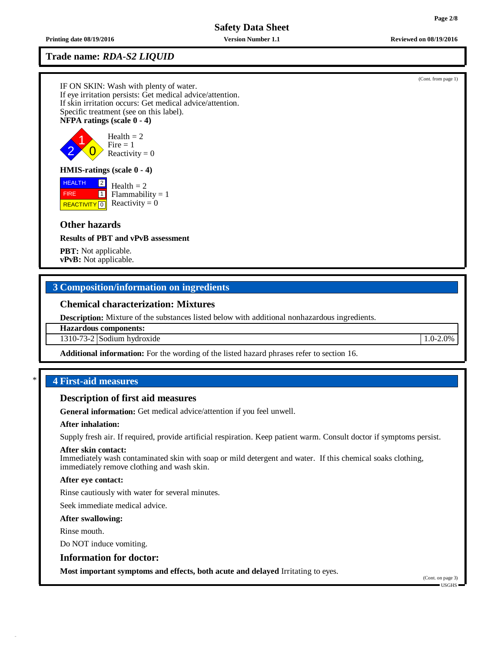**Printing date 08/19/2016 Version Number 1.1 Reviewed on 08/19/2016**

# **Trade name:** *RDA-S2 LIQUID*

IF ON SKIN: Wash with plenty of water. If eye irritation persists: Get medical advice/attention. If skin irritation occurs: Get medical advice/attention. Specific treatment (see on this label). **NFPA ratings (scale 0 - 4)**



# **HMIS-ratings (scale 0 - 4)**

**HEALTH**  FIRE REACTIVITY  $\boxed{0}$  Reactivity = 0 2

 $1$  Flammability = 1  $Health = 2$ 

# **Other hazards**

**Results of PBT and vPvB assessment**

**PBT:** Not applicable. **vPvB:** Not applicable.

# **3 Composition/information on ingredients**

# **Chemical characterization: Mixtures**

**Description:** Mixture of the substances listed below with additional nonhazardous ingredients.

#### **Hazardous components:**

1310-73-2 Sodium hydroxide 1.0-2.0%

**Additional information:** For the wording of the listed hazard phrases refer to section 16.

## \* **4 First-aid measures**

#### **Description of first aid measures**

**General information:** Get medical advice/attention if you feel unwell.

#### **After inhalation:**

Supply fresh air. If required, provide artificial respiration. Keep patient warm. Consult doctor if symptoms persist.

#### **After skin contact:**

Immediately wash contaminated skin with soap or mild detergent and water. If this chemical soaks clothing, immediately remove clothing and wash skin.

#### **After eye contact:**

Rinse cautiously with water for several minutes.

Seek immediate medical advice.

#### **After swallowing:**

Rinse mouth.

Do NOT induce vomiting.

#### **Information for doctor:**

**Most important symptoms and effects, both acute and delayed** Irritating to eyes.

(Cont. on page 3) USGHS

(Cont. from page 1)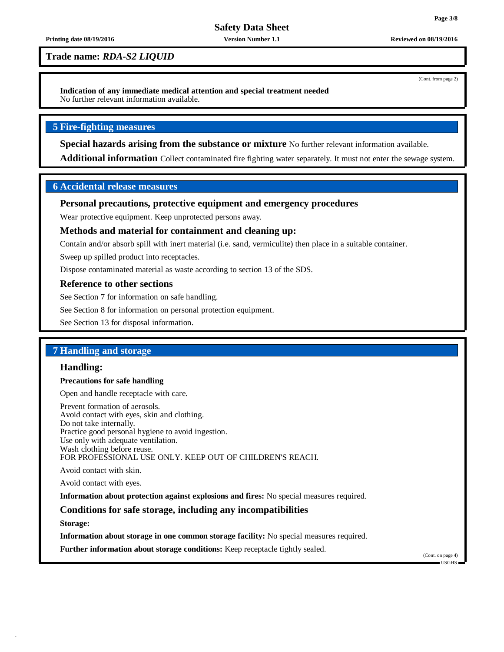(Cont. from page 2)

# **Safety Data Sheet**

#### **Printing date 08/19/2016 Version Number 1.1 Reviewed on 08/19/2016**

**Trade name:** *RDA-S2 LIQUID*

**Indication of any immediate medical attention and special treatment needed** No further relevant information available.

## **5 Fire-fighting measures**

**Special hazards arising from the substance or mixture** No further relevant information available.

**Additional information** Collect contaminated fire fighting water separately. It must not enter the sewage system.

## **6 Accidental release measures**

## **Personal precautions, protective equipment and emergency procedures**

Wear protective equipment. Keep unprotected persons away.

## **Methods and material for containment and cleaning up:**

Contain and/or absorb spill with inert material (i.e. sand, vermiculite) then place in a suitable container.

Sweep up spilled product into receptacles.

Dispose contaminated material as waste according to section 13 of the SDS.

#### **Reference to other sections**

See Section 7 for information on safe handling.

See Section 8 for information on personal protection equipment.

See Section 13 for disposal information.

# **7 Handling and storage**

## **Handling:**

## **Precautions for safe handling**

Open and handle receptacle with care.

Prevent formation of aerosols. Avoid contact with eyes, skin and clothing. Do not take internally. Practice good personal hygiene to avoid ingestion. Use only with adequate ventilation. Wash clothing before reuse. FOR PROFESSIONAL USE ONLY. KEEP OUT OF CHILDREN'S REACH.

Avoid contact with skin.

Avoid contact with eyes.

**Information about protection against explosions and fires:** No special measures required.

# **Conditions for safe storage, including any incompatibilities**

**Storage:**

**Information about storage in one common storage facility:** No special measures required.

**Further information about storage conditions:** Keep receptacle tightly sealed.

(Cont. on page 4) USGHS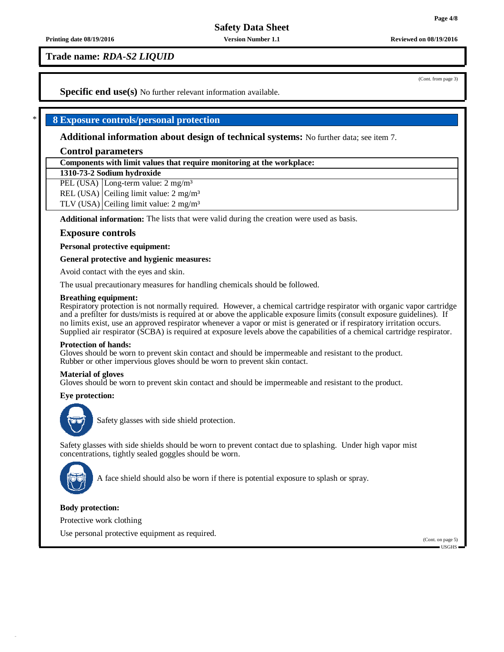# **Trade name:** *RDA-S2 LIQUID*

(Cont. from page 3)

**Specific end use(s)** No further relevant information available.

## \* **8 Exposure controls/personal protection**

**Additional information about design of technical systems:** No further data; see item 7.

## **Control parameters**

**Components with limit values that require monitoring at the workplace:**

#### **1310-73-2 Sodium hydroxide**

PEL (USA) Long-term value: 2 mg/m<sup>3</sup>

REL (USA) Ceiling limit value: 2 mg/m<sup>3</sup>

TLV (USA) Ceiling limit value:  $2 \text{ mg/m}^3$ 

**Additional information:** The lists that were valid during the creation were used as basis.

## **Exposure controls**

**Personal protective equipment:**

**General protective and hygienic measures:**

Avoid contact with the eyes and skin.

The usual precautionary measures for handling chemicals should be followed.

#### **Breathing equipment:**

Respiratory protection is not normally required. However, a chemical cartridge respirator with organic vapor cartridge and a prefilter for dusts/mists is required at or above the applicable exposure limits (consult exposure guidelines). If no limits exist, use an approved respirator whenever a vapor or mist is generated or if respiratory irritation occurs. Supplied air respirator (SCBA) is required at exposure levels above the capabilities of a chemical cartridge respirator.

#### **Protection of hands:**

Gloves should be worn to prevent skin contact and should be impermeable and resistant to the product. Rubber or other impervious gloves should be worn to prevent skin contact.

#### **Material of gloves**

Gloves should be worn to prevent skin contact and should be impermeable and resistant to the product.

#### **Eye protection:**



Safety glasses with side shield protection.

Safety glasses with side shields should be worn to prevent contact due to splashing. Under high vapor mist concentrations, tightly sealed goggles should be worn.



A face shield should also be worn if there is potential exposure to splash or spray.

#### **Body protection:**

Protective work clothing

Use personal protective equipment as required.

(Cont. on page 5)

 $\blacksquare$ USGHS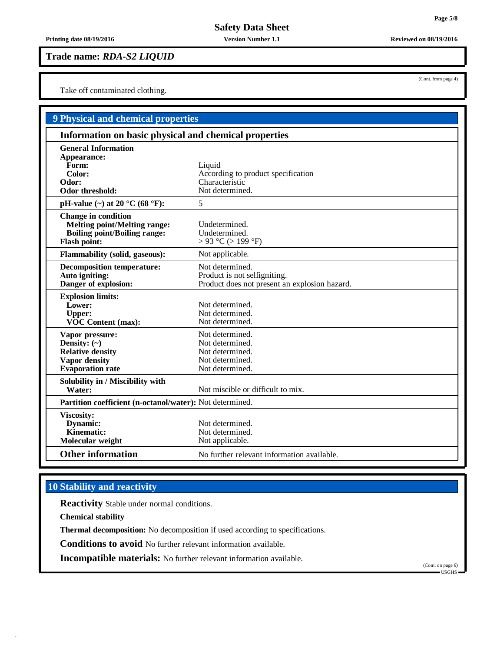**Printing date 08/19/2016 Version Number 1.1 Reviewed on 08/19/2016**

## **Trade name:** *RDA-S2 LIQUID*

Take off contaminated clothing.

| 9 Physical and chemical properties                                                                                              |                                                                                                  |  |  |
|---------------------------------------------------------------------------------------------------------------------------------|--------------------------------------------------------------------------------------------------|--|--|
| Information on basic physical and chemical properties                                                                           |                                                                                                  |  |  |
| <b>General Information</b><br>Appearance:                                                                                       |                                                                                                  |  |  |
| Form:<br>Color:                                                                                                                 | Liquid<br>According to product specification                                                     |  |  |
| Odor:<br>Odor threshold:                                                                                                        | Characteristic<br>Not determined.                                                                |  |  |
| pH-value $(\sim)$ at 20 °C (68 °F):                                                                                             | 5                                                                                                |  |  |
| <b>Change in condition</b><br><b>Melting point/Melting range:</b><br><b>Boiling point/Boiling range:</b><br><b>Flash point:</b> | Undetermined.<br>Undetermined.<br>$> 93$ °C ( $> 199$ °F)                                        |  |  |
| <b>Flammability (solid, gaseous):</b>                                                                                           | Not applicable.                                                                                  |  |  |
| <b>Decomposition temperature:</b><br>Auto igniting:<br>Danger of explosion:                                                     | Not determined.<br>Product is not selfigniting.<br>Product does not present an explosion hazard. |  |  |
| <b>Explosion limits:</b><br>Lower:<br><b>Upper:</b><br><b>VOC Content (max):</b>                                                | Not determined.<br>Not determined.<br>Not determined.                                            |  |  |
| Vapor pressure:<br>Density: $(\sim)$<br><b>Relative density</b><br><b>Vapor density</b><br><b>Evaporation</b> rate              | Not determined.<br>Not determined.<br>Not determined.<br>Not determined.<br>Not determined.      |  |  |
| Solubility in / Miscibility with<br>Water:                                                                                      | Not miscible or difficult to mix.                                                                |  |  |
| Partition coefficient (n-octanol/water): Not determined.                                                                        |                                                                                                  |  |  |
| <b>Viscosity:</b><br>Dynamic:<br><b>Kinematic:</b><br>Molecular weight                                                          | Not determined.<br>Not determined.<br>Not applicable.                                            |  |  |
| <b>Other information</b>                                                                                                        | No further relevant information available.                                                       |  |  |

# **10 Stability and reactivity**

**Reactivity** Stable under normal conditions.

**Chemical stability**

**Thermal decomposition:** No decomposition if used according to specifications.

**Conditions to avoid** No further relevant information available.

**Incompatible materials:** No further relevant information available.

(Cont. on page 6)

(Cont. from page 4)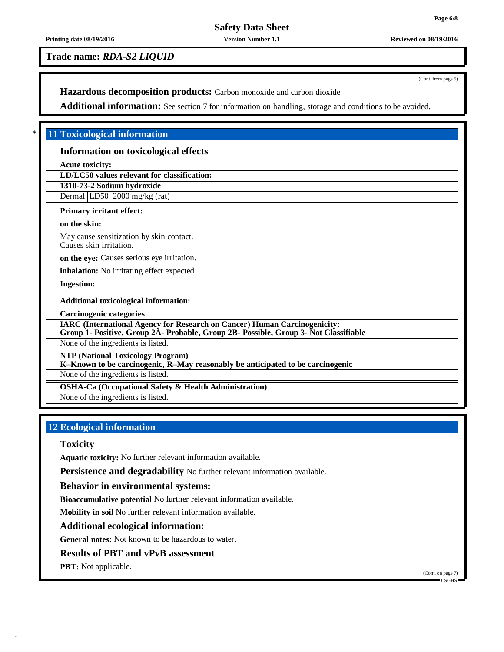(Cont. from page 5)

**Safety Data Sheet**

**Printing date 08/19/2016 Version Number 1.1 Reviewed on 08/19/2016**

## **Trade name:** *RDA-S2 LIQUID*

**Hazardous decomposition products:** Carbon monoxide and carbon dioxide

**Additional information:** See section 7 for information on handling, storage and conditions to be avoided.

## \* **11 Toxicological information**

## **Information on toxicological effects**

**Acute toxicity:**

**LD/LC50 values relevant for classification:**

**1310-73-2 Sodium hydroxide**

Dermal LD50 2000 mg/kg (rat)

## **Primary irritant effect:**

**on the skin:**

May cause sensitization by skin contact. Causes skin irritation.

**on the eye:** Causes serious eye irritation.

**inhalation:** No irritating effect expected

**Ingestion:**

#### **Additional toxicological information:**

**Carcinogenic categories**

**IARC (International Agency for Research on Cancer) Human Carcinogenicity:**

**Group 1- Positive, Group 2A- Probable, Group 2B- Possible, Group 3- Not Classifiable**

None of the ingredients is listed.

**NTP (National Toxicology Program)**

**K–Known to be carcinogenic, R–May reasonably be anticipated to be carcinogenic**

None of the ingredients is listed.

**OSHA-Ca (Occupational Safety & Health Administration)**

None of the ingredients is listed.

# **12 Ecological information**

## **Toxicity**

**Aquatic toxicity:** No further relevant information available.

**Persistence and degradability** No further relevant information available.

# **Behavior in environmental systems:**

**Bioaccumulative potential** No further relevant information available.

**Mobility in soil** No further relevant information available.

# **Additional ecological information:**

**General notes:** Not known to be hazardous to water.

# **Results of PBT and vPvB assessment**

**PBT:** Not applicable.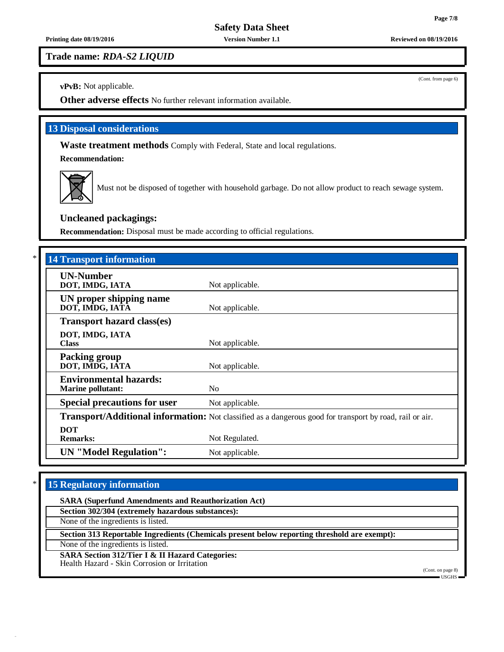#### **Printing date 08/19/2016 Version Number 1.1 Reviewed on 08/19/2016**

**Trade name:** *RDA-S2 LIQUID*

**vPvB:** Not applicable.

**Other adverse effects** No further relevant information available.

# **13 Disposal considerations**

**Waste treatment methods** Comply with Federal, State and local regulations.

**Recommendation:**



Must not be disposed of together with household garbage. Do not allow product to reach sewage system.

# **Uncleaned packagings:**

**Recommendation:** Disposal must be made according to official regulations.

| <b>14 Transport information</b>                           |                                                                                                          |
|-----------------------------------------------------------|----------------------------------------------------------------------------------------------------------|
| <b>UN-Number</b><br>DOT, IMDG, IATA                       | Not applicable.                                                                                          |
| UN proper shipping name<br>DOT, IMDG, IATÃ                | Not applicable.                                                                                          |
| <b>Transport hazard class(es)</b>                         |                                                                                                          |
| DOT, IMDG, IATA<br><b>Class</b>                           | Not applicable.                                                                                          |
| <b>Packing group</b><br>DOT, IMDG, IATA                   | Not applicable.                                                                                          |
| <b>Environmental hazards:</b><br><b>Marine pollutant:</b> | N <sub>0</sub>                                                                                           |
| <b>Special precautions for user</b>                       | Not applicable.                                                                                          |
|                                                           | Transport/Additional information: Not classified as a dangerous good for transport by road, rail or air. |
| <b>DOT</b><br><b>Remarks:</b>                             | Not Regulated.                                                                                           |
| <b>UN</b> "Model Regulation":                             | Not applicable.                                                                                          |

# \* **15 Regulatory information**

**SARA (Superfund Amendments and Reauthorization Act) Section 302/304 (extremely hazardous substances):** None of the ingredients is listed. **Section 313 Reportable Ingredients (Chemicals present below reporting threshold are exempt):** None of the ingredients is listed. **SARA Section 312/Tier I & II Hazard Categories:** Health Hazard - Skin Corrosion or Irritation (Cont. on page 8) USGHS

(Cont. from page 6)